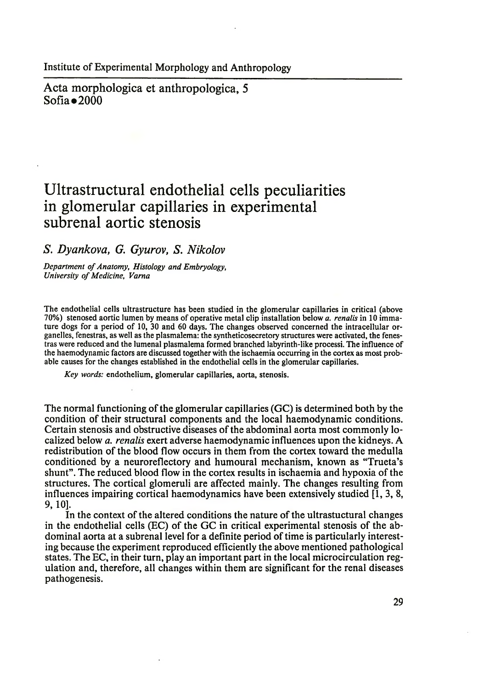Acta morphologica et anthropologica, 5  $Sofia \bullet 2000$ 

# **Ultrastructural endothelial cells peculiarities in glomerular capillaries in experimental subrenal aortic stenosis**

### *S. Dyankova, G. Gyurov, S. Nikolov*

*Department of Anatomy, Histology and Embryology, University of Medicine, Varna*

The endothelial cells ultrastructure has been studied in the glomerular capillaries in critical (above 70%) stenosed aortic lumen by means of operative metal clip installation below *a. renalis* in 10 immature dogs for a period of 10, 30 and 60 days. The changes observed concerned the intracellular organelles, fenestras, as well as the plasmalema: the syntheticosecretory structures were activated, the fenestras were reduced and the lumenal plasmalema formed branched labyrinth-like processi. The influence of the haemodynamic factors are discussed together with the ischaemia occurring in the cortex as most probable causes for the changes established in the endothelial cells in the glomerular capillaries.

*Key words:* endothelium, glomerular capillaries, aorta, stenosis.

The normal functioning of the glomerular capillaries (GC) is determined both by the condition of their structural components and the local haemodynamic conditions. Certain stenosis and obstructive diseases of the abdominal aorta most commonly localized below *a. renalis* exert adverse haemodynamic influences upon the kidneys. A redistribution of the blood flow occurs in them from the cortex toward the medulla conditioned by a neuroreflectory and humoural mechanism, known as "Trueta's shunt". The reduced blood flow in the cortex results in ischaemia and hypoxia of the structures. The cortical glomeruli are affected mainly. The changes resulting from influences impairing cortical haemodynamics have been extensively studied [1, 3, 8, 9,10].

In the context of the altered conditions the nature of the ultrastuctural changes in the endothelial cells (EC) of the GC in critical experimental stenosis of the abdominal aorta at a subrenal level for a definite period of time is particularly interesting because the experiment reproduced efficiently the above mentioned pathological states. The EC, in their turn, play an important part in the local microcirculation regulation and, therefore, all changes within them are significant for the renal diseases pathogenesis.

29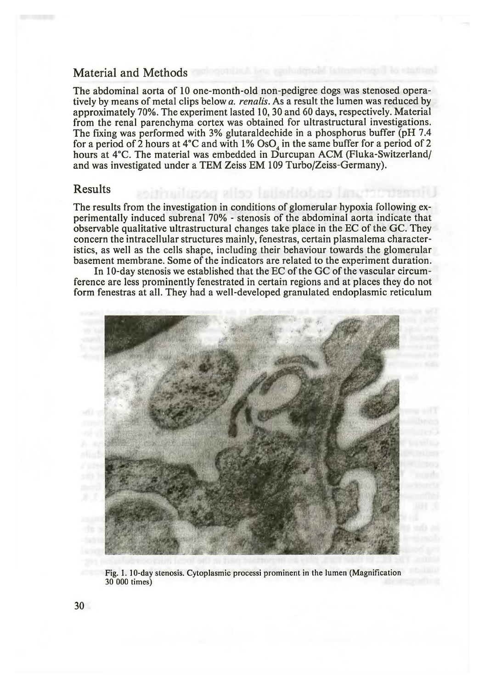## Material and Methods

The abdominal aorta of 10 one-month-old non-pedigree dogs was stenosed operatively by means of metal clips below *a. renalis.* As a result the lumen was reduced by approximately 70%. The experiment lasted 10, 30 and 60 days, respectively. Material from the renal parenchyma cortex was obtained for ultrastructural investigations. The fixing was performed with 3% glutaraldechide in a phosphorus buffer (pH 7.4 for a period of 2 hours at  $4^{\circ}$ C and with 1% OsO, in the same buffer for a period of 2 hours at 4°C. The material was embedded in Durcupan ACM (Fluka-Switzerland/ and was investigated under a TEM Zeiss EM 109 Turbo/Zeiss-Germany).

#### Results

The results from the investigation in conditions of glomerular hypoxia following experimentally induced subrenal 70% - stenosis of the abdominal aorta indicate that observable qualitative ultrastructural changes take place in the EC of the GC. They concern the intracellular structures mainly, fenestras, certain plasmalema characteristics, as well as the cells shape, including their behaviour towards the glomerular basement membrane. Some of the indicators are related to the experiment duration.

In 10-day stenosis we established that the EC of the GC of the vascular circumference are less prominently fenestrated in certain regions and at places they do not form fenestras at all. They had a well-developed granulated endoplasmic reticulum



Fig. 1. 10-day stenosis. Cytoplasmic processi prominent in the lumen (Magnification 30 000 times)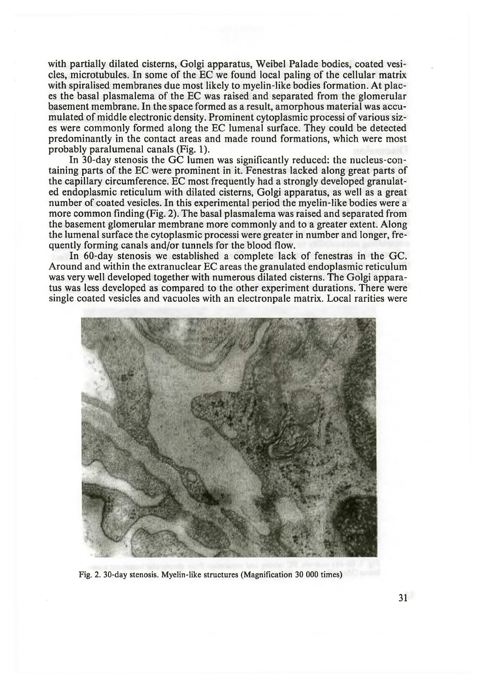with partially dilated cisterns, Golgi apparatus, Weibel Palade bodies, coated vesicles, microtubules. In some of the EC we found local paling of the cellular matrix with spiralised membranes due most likely to myelin-like bodies formation. At places the basal plasmalema of the EC was raised and separated from the glomerular basement membrane. In the space formed as a result, amorphous material was accumulated of middle electronic density. Prominent cytoplasmic processi of various sizes were commonly formed along the EC lumenal surface. They could be detected predominantly in the contact areas and made round formations, which were most probably paralumenal canals (Fig. 1).

In 30-day stenosis the GC lumen was significantly reduced: the nucleus-containing parts of the EC were prominent in it. Fenestras lacked along great parts of the capillary circumference. EC most frequently had a strongly developed granulated endoplasmic reticulum with dilated cisterns, Golgi apparatus, as well as a great number of coated vesicles. In this experimental period the myelin-like bodies were a more common finding (Fig. 2). The basal plasmalema was raised and separated from the basement glomerular membrane more commonly and to a greater extent. Along the lumenal surface the cytoplasmic processi were greater in number and longer, frequently forming canals and/or tunnels for the blood flow.

In 60-day stenosis we established a complete lack of fenestras in the GC. Around and within the extranuclear EC areas the granulated endoplasmic reticulum was very well developed together with numerous dilated cisterns. The Golgi apparatus was less developed as compared to the other experiment durations. There were single coated vesicles and vacuoles with an electronpale matrix. Local rarities were



Fig. 2. 30-day stenosis. Myelin-like structures (Magnification 30 000 times)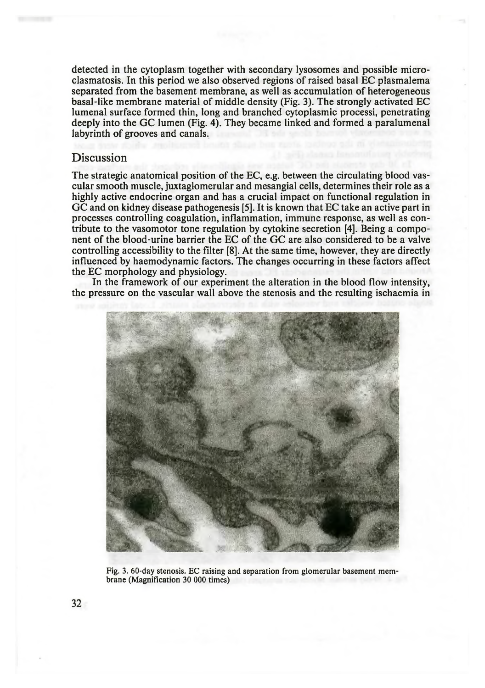detected in the cytoplasm together with secondary lysosomes and possible microclasmatosis. In this period we also observed regions of raised basal EC plasmalema separated from the basement membrane, as well as accumulation of heterogeneous basal-like membrane material of middle density (Fig. 3). The strongly activated EC lumenal surface formed thin, long and branched cytoplasmic processi, penetrating deeply into the GC lumen (Fig. 4). They became linked and formed a paralumenal labyrinth of grooves and canals.

## **Discussion**

The strategic anatomical position of the EC, e.g. between the circulating blood vascular smooth muscle, juxtaglomerular and mesangial cells, determines their role as a highly active endocrine organ and has a crucial impact on functional regulation in GC and on kidney disease pathogenesis [5]. It is known that EC take an active part in processes controlling coagulation, inflammation, immune response, as well as contribute to the vasomotor tone regulation by cytokine secretion [4]. Being a component of the blood-urine barrier the EC of the GC are also considered to be a valve controlling accessibility to the filter [8]. At the same time, however, they are directly influenced by haemodynamic factors. The changes occurring in these factors affect the EC morphology and physiology.

In the framework of our experiment the alteration in the blood flow intensity, the pressure on the vascular wall above the stenosis and the resulting ischaemia in



Fig. 3. 60-day stenosis. EC raising and separation from glomerular basement membrane (Magnification 30 000 times)

 $32$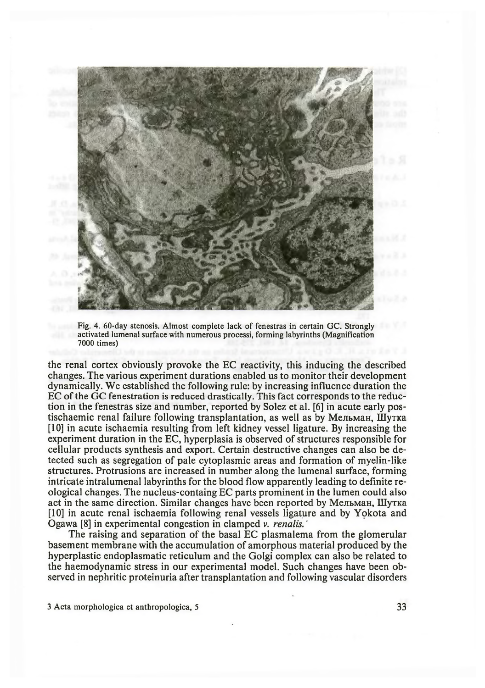

Fig. 4. 60-day stenosis. Almost complete lack of fenestras in certain GC. Strongly activated lumenal surface with numerous processi, forming labyrinths (Magnification 7000 times)

the renal cortex obviously provoke the EC reactivity, this inducing the described changes. The various experiment durations enabled us to monitor their development dynamically. We established the following rule: by increasing influence duration the EC of the GC fenestration is reduced drastically. This fact corresponds to the reduction in the fenestras size and number, reported by Solez et al. [6] in acute early postischaemic renal failure following transplantation, as well as by Мельман, Шутка [10] in acute ischaemia resulting from left kidney vessel ligature. By increasing the experiment duration in the EC, hyperplasia is observed of structures responsible for cellular products synthesis and export. Certain destructive changes can also be detected such as segregation of pale cytoplasmic areas and formation of myelin-like structures. Protrusions are increased in number along the lumenal surface, forming intricate intralumenal labyrinths for the blood flow apparently leading to definite reological changes. The nucleus-containg EC parts prominent in the lumen could also act in the same direction. Similar changes have been reported by Мельман, Шутка [10] in acute renal ischaemia following renal vessels ligature and by Yokota and Ogawa [8] in experimental congestion in clamped v. *renalis.'*

The raising and separation of the basal EC plasmalema from the glomerular basement membrane with the accumulation of amorphous material produced by the hyperplastic endoplasmatic reticulum and the Golgi complex can also be related to the haemodynamic stress in our experimental model. Such changes have been observed in nephritic proteinuria after transplantation and following vascular disorders